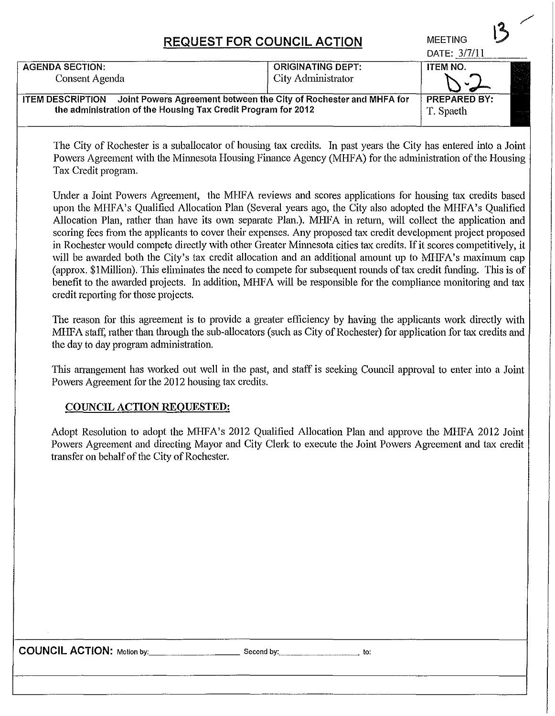## **REQUEST FOR COUNCIL ACTION**

|                                                                                                                                                               |                                                | DATE: 3/7/11                     |  |
|---------------------------------------------------------------------------------------------------------------------------------------------------------------|------------------------------------------------|----------------------------------|--|
| <b>AGENDA SECTION:</b><br>Consent Agenda                                                                                                                      | <b>ORIGINATING DEPT:</b><br>City Administrator | <b>ITEM NO.</b>                  |  |
| Joint Powers Agreement between the City of Rochester and MHFA for<br><b>ITEM DESCRIPTION</b><br>the administration of the Housing Tax Credit Program for 2012 |                                                | <b>PREPARED BY:</b><br>T. Spaeth |  |

The City of Rochester is a suballocator of housing tax credits. In past years the City has entered into a Joint Powers Agreement with the Minnesota Housing Finance Agency (MHFA) for the administration of the Housing Tax Credit program.

**MEETING** 

Under a Joint Powers Agreement, the MHFA reviews and scores applications for housing tax credits based upon the MHFA's Qualified Allocation Plan (Several years ago, the City also adopted the MHFA's Qualified Allocation Plan, rather than have its own separate Plan.). MHFA in return, will collect the application and scoring fees from the applicants to cover their expenses. Any proposed tax credit development project proposed in Rochester would compete directly with other Greater Minnesota cities tax credits. If it scores competitively, it will be awarded both the City's tax credit allocation and an additional amount up to MHFA's maximum cap (approx, \$1Million). This eliminates the need to compete for subsequent rounds of tax credit funding. This is of benefit to the awarded projects. In addition, MHFA will be responsible for the compliance monitoring and tax credit reporting for those projects.

The reason for this agreement is to provide a greater efficiency by having the applicants work directly with MHFA staff, rather than through the sub-allocators (such as City of Rochester) for application for tax credits and the day to day program administration.

This arrangement has worked out well in the past, and staff is seeking Council approval to enter into a Joint Powers Agreement for the 2012 housing tax credits.

## COUNCIL ACTION REQUESTED:

Adopt Resolution to adopt the MHFA's 2012 Qualified Allocation Plan and approve the MHFA 2012 Joint Powers Agreement and directing Mayor and City Clerk to execute the Joint Powers Agreement and tax credit transfer on behalf of the City of Rochester.

**COUNCIL ACTION:** Motion by: \_\_\_\_\_\_\_ second by: \_\_\_\_\_\_\_ to: